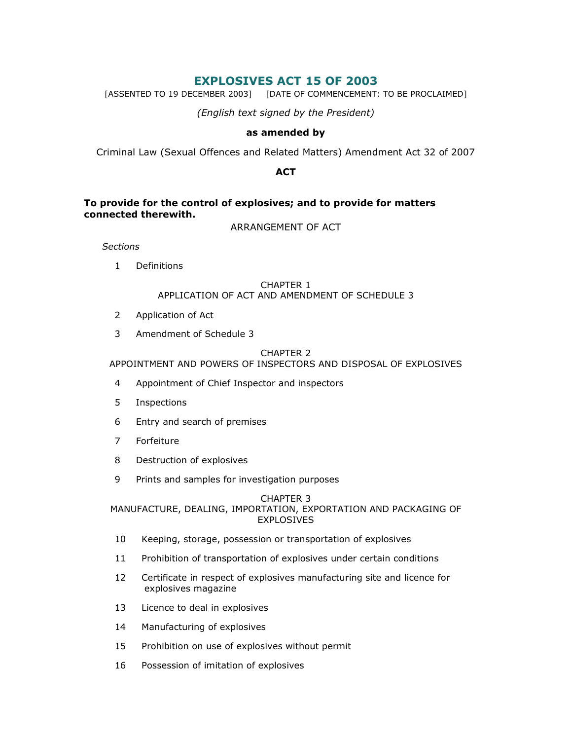# EXPLOSIVES ACT 15 OF 2003

[ASSENTED TO 19 DECEMBER 2003] [DATE OF COMMENCEMENT: TO BE PROCLAIMED]

(English text signed by the President)

#### as amended by

Criminal Law (Sexual Offences and Related Matters) Amendment Act 32 of 2007

#### **ACT**

## To provide for the control of explosives; and to provide for matters connected therewith.

ARRANGEMENT OF ACT

**Sections** 

1 Definitions

#### CHAPTER 1

#### APPLICATION OF ACT AND AMENDMENT OF SCHEDULE 3

- 2 Application of Act
- 3 Amendment of Schedule 3

#### CHAPTER 2

#### APPOINTMENT AND POWERS OF INSPECTORS AND DISPOSAL OF EXPLOSIVES

- 4 Appointment of Chief Inspector and inspectors
- 5 Inspections
- 6 Entry and search of premises
- 7 Forfeiture
- 8 Destruction of explosives
- 9 Prints and samples for investigation purposes

#### CHAPTER 3

MANUFACTURE, DEALING, IMPORTATION, EXPORTATION AND PACKAGING OF EXPLOSIVES

- 10 Keeping, storage, possession or transportation of explosives
- 11 Prohibition of transportation of explosives under certain conditions
- 12 Certificate in respect of explosives manufacturing site and licence for explosives magazine
- 13 Licence to deal in explosives
- 14 Manufacturing of explosives
- 15 Prohibition on use of explosives without permit
- 16 Possession of imitation of explosives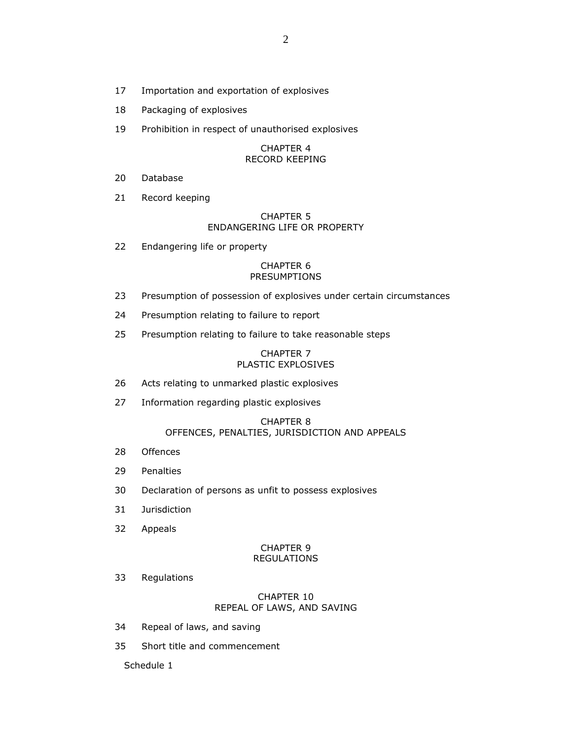- 17 Importation and exportation of explosives
- 18 Packaging of explosives
- 19 Prohibition in respect of unauthorised explosives

#### CHAPTER 4 RECORD KEEPING

- 20 Database
- 21 Record keeping

#### CHAPTER 5 ENDANGERING LIFE OR PROPERTY

22 Endangering life or property

#### CHAPTER 6 PRESUMPTIONS

- 23 Presumption of possession of explosives under certain circumstances
- 24 Presumption relating to failure to report
- 25 Presumption relating to failure to take reasonable steps

#### CHAPTER 7 PLASTIC EXPLOSIVES

- 26 Acts relating to unmarked plastic explosives
- 27 Information regarding plastic explosives

#### CHAPTER 8 OFFENCES, PENALTIES, JURISDICTION AND APPEALS

- 28 Offences
- 29 Penalties
- 30 Declaration of persons as unfit to possess explosives
- 31 Jurisdiction
- 32 Appeals

#### CHAPTER 9 REGULATIONS

33 Regulations

#### CHAPTER 10 REPEAL OF LAWS, AND SAVING

- 34 Repeal of laws, and saving
- 35 Short title and commencement

Schedule 1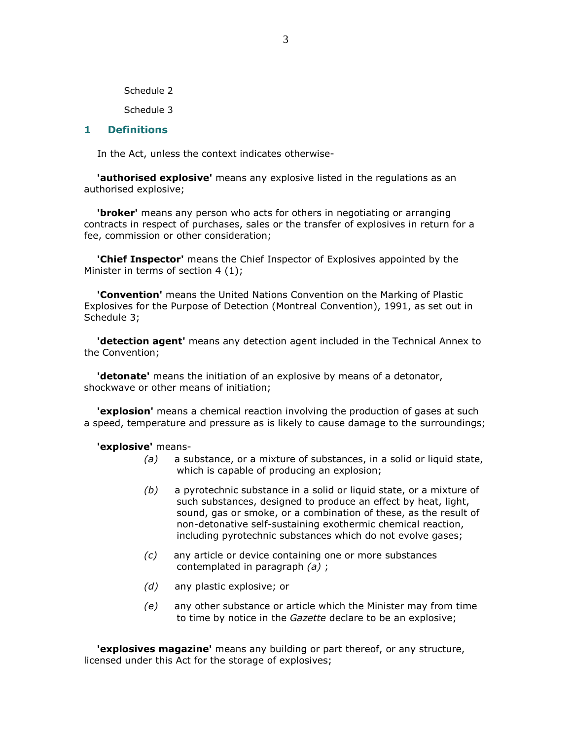Schedule 2

Schedule 3

## 1 Definitions

In the Act, unless the context indicates otherwise-

**'authorised explosive'** means any explosive listed in the regulations as an authorised explosive;

**'broker'** means any person who acts for others in negotiating or arranging contracts in respect of purchases, sales or the transfer of explosives in return for a fee, commission or other consideration;

**'Chief Inspector'** means the Chief Inspector of Explosives appointed by the Minister in terms of section 4 (1);

 'Convention' means the United Nations Convention on the Marking of Plastic Explosives for the Purpose of Detection (Montreal Convention), 1991, as set out in Schedule 3;

**'detection agent'** means any detection agent included in the Technical Annex to the Convention;

**'detonate'** means the initiation of an explosive by means of a detonator, shockwave or other means of initiation;

**'explosion'** means a chemical reaction involving the production of gases at such a speed, temperature and pressure as is likely to cause damage to the surroundings;

#### 'explosive' means-

- $(a)$  a substance, or a mixture of substances, in a solid or liquid state, which is capable of producing an explosion;
- $(b)$  a pyrotechnic substance in a solid or liquid state, or a mixture of such substances, designed to produce an effect by heat, light, sound, gas or smoke, or a combination of these, as the result of non-detonative self-sustaining exothermic chemical reaction, including pyrotechnic substances which do not evolve gases;
- (c) any article or device containing one or more substances contemplated in paragraph (a) ;
- (d) any plastic explosive; or
- (e) any other substance or article which the Minister may from time to time by notice in the Gazette declare to be an explosive;

**'explosives magazine'** means any building or part thereof, or any structure, licensed under this Act for the storage of explosives;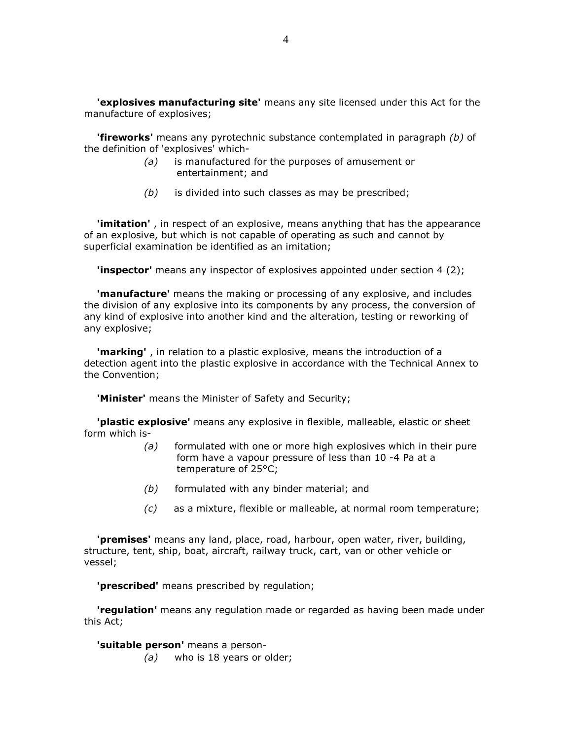'explosives manufacturing site' means any site licensed under this Act for the manufacture of explosives;

**'fireworks'** means any pyrotechnic substance contemplated in paragraph (b) of the definition of 'explosives' which-

- (a) is manufactured for the purposes of amusement or entertainment; and
- $(b)$  is divided into such classes as may be prescribed;

**'imitation'**, in respect of an explosive, means anything that has the appearance of an explosive, but which is not capable of operating as such and cannot by superficial examination be identified as an imitation;

**'inspector'** means any inspector of explosives appointed under section 4 (2);

**'manufacture'** means the making or processing of any explosive, and includes the division of any explosive into its components by any process, the conversion of any kind of explosive into another kind and the alteration, testing or reworking of any explosive;

**'marking'**, in relation to a plastic explosive, means the introduction of a detection agent into the plastic explosive in accordance with the Technical Annex to the Convention;

'Minister' means the Minister of Safety and Security;

'plastic explosive' means any explosive in flexible, malleable, elastic or sheet form which is-

- $(a)$  formulated with one or more high explosives which in their pure form have a vapour pressure of less than 10 -4 Pa at a temperature of 25°C;
- (b) formulated with any binder material; and
- (c) as a mixture, flexible or malleable, at normal room temperature;

 'premises' means any land, place, road, harbour, open water, river, building, structure, tent, ship, boat, aircraft, railway truck, cart, van or other vehicle or vessel;

'prescribed' means prescribed by regulation;

 'regulation' means any regulation made or regarded as having been made under this Act;

'suitable person' means a person-

(a) who is 18 years or older;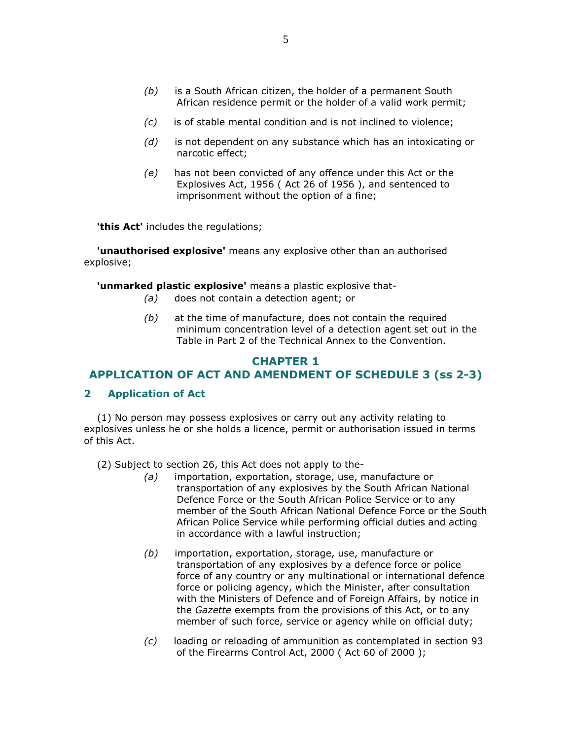- $(b)$  is a South African citizen, the holder of a permanent South African residence permit or the holder of a valid work permit;
- (c) is of stable mental condition and is not inclined to violence;
- $(d)$  is not dependent on any substance which has an intoxicating or narcotic effect;
- (e) has not been convicted of any offence under this Act or the Explosives Act, 1956 ( Act 26 of 1956 ), and sentenced to imprisonment without the option of a fine;

**'this Act'** includes the regulations;

**'unauthorised explosive'** means any explosive other than an authorised explosive;

**'unmarked plastic explosive'** means a plastic explosive that-

- (a) does not contain a detection agent; or
- $(b)$  at the time of manufacture, does not contain the required minimum concentration level of a detection agent set out in the Table in Part 2 of the Technical Annex to the Convention.

# CHAPTER 1 APPLICATION OF ACT AND AMENDMENT OF SCHEDULE 3 (ss 2-3)

#### 2 Application of Act

 (1) No person may possess explosives or carry out any activity relating to explosives unless he or she holds a licence, permit or authorisation issued in terms of this Act.

(2) Subject to section 26, this Act does not apply to the-

- (a) importation, exportation, storage, use, manufacture or transportation of any explosives by the South African National Defence Force or the South African Police Service or to any member of the South African National Defence Force or the South African Police Service while performing official duties and acting in accordance with a lawful instruction;
- $(b)$  importation, exportation, storage, use, manufacture or transportation of any explosives by a defence force or police force of any country or any multinational or international defence force or policing agency, which the Minister, after consultation with the Ministers of Defence and of Foreign Affairs, by notice in the Gazette exempts from the provisions of this Act, or to any member of such force, service or agency while on official duty;
- (c) loading or reloading of ammunition as contemplated in section 93 of the Firearms Control Act, 2000 ( Act 60 of 2000 );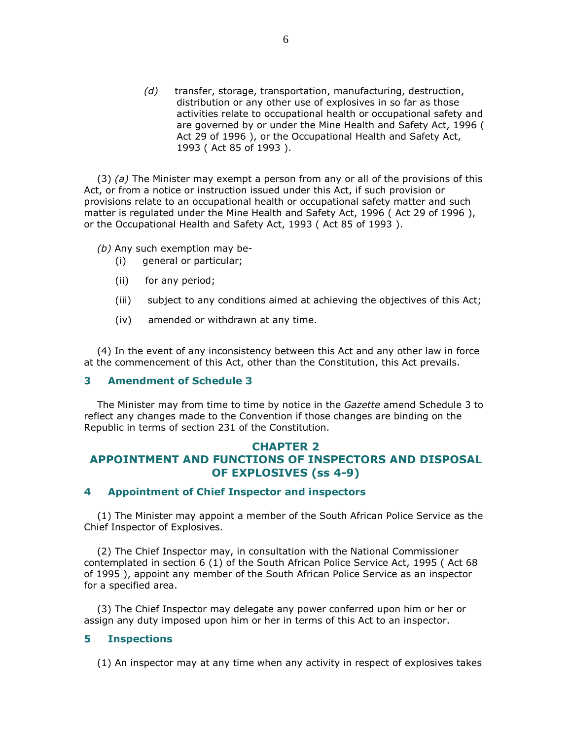(d) transfer, storage, transportation, manufacturing, destruction, distribution or any other use of explosives in so far as those activities relate to occupational health or occupational safety and are governed by or under the Mine Health and Safety Act, 1996 ( Act 29 of 1996 ), or the Occupational Health and Safety Act, 1993 ( Act 85 of 1993 ).

(3) (a) The Minister may exempt a person from any or all of the provisions of this Act, or from a notice or instruction issued under this Act, if such provision or provisions relate to an occupational health or occupational safety matter and such matter is regulated under the Mine Health and Safety Act, 1996 ( Act 29 of 1996 ), or the Occupational Health and Safety Act, 1993 ( Act 85 of 1993 ).

(b) Any such exemption may be-

- (i) general or particular;
- (ii) for any period;
- (iii) subject to any conditions aimed at achieving the objectives of this Act;
- (iv) amended or withdrawn at any time.

 (4) In the event of any inconsistency between this Act and any other law in force at the commencement of this Act, other than the Constitution, this Act prevails.

#### 3 Amendment of Schedule 3

The Minister may from time to time by notice in the Gazette amend Schedule 3 to reflect any changes made to the Convention if those changes are binding on the Republic in terms of section 231 of the Constitution.

# CHAPTER 2 APPOINTMENT AND FUNCTIONS OF INSPECTORS AND DISPOSAL OF EXPLOSIVES (ss 4-9)

#### 4 Appointment of Chief Inspector and inspectors

 (1) The Minister may appoint a member of the South African Police Service as the Chief Inspector of Explosives.

 (2) The Chief Inspector may, in consultation with the National Commissioner contemplated in section 6 (1) of the South African Police Service Act, 1995 ( Act 68 of 1995 ), appoint any member of the South African Police Service as an inspector for a specified area.

 (3) The Chief Inspector may delegate any power conferred upon him or her or assign any duty imposed upon him or her in terms of this Act to an inspector.

#### 5 Inspections

(1) An inspector may at any time when any activity in respect of explosives takes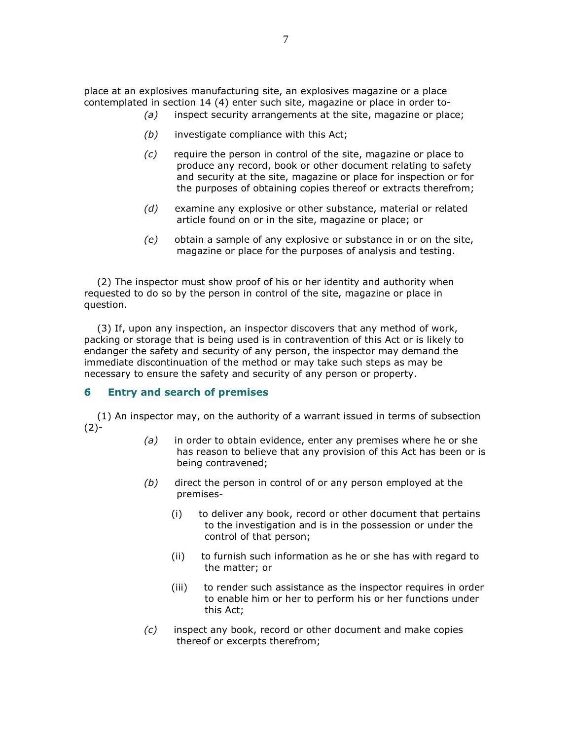place at an explosives manufacturing site, an explosives magazine or a place contemplated in section 14 (4) enter such site, magazine or place in order to-

- (a) inspect security arrangements at the site, magazine or place;
- (b) investigate compliance with this Act;
- (c) require the person in control of the site, magazine or place to produce any record, book or other document relating to safety and security at the site, magazine or place for inspection or for the purposes of obtaining copies thereof or extracts therefrom;
- (d) examine any explosive or other substance, material or related article found on or in the site, magazine or place; or
- (e) obtain a sample of any explosive or substance in or on the site, magazine or place for the purposes of analysis and testing.

 (2) The inspector must show proof of his or her identity and authority when requested to do so by the person in control of the site, magazine or place in question.

 (3) If, upon any inspection, an inspector discovers that any method of work, packing or storage that is being used is in contravention of this Act or is likely to endanger the safety and security of any person, the inspector may demand the immediate discontinuation of the method or may take such steps as may be necessary to ensure the safety and security of any person or property.

#### 6 Entry and search of premises

 (1) An inspector may, on the authority of a warrant issued in terms of subsection (2)-

- $(a)$  in order to obtain evidence, enter any premises where he or she has reason to believe that any provision of this Act has been or is being contravened;
- $(b)$  direct the person in control of or any person employed at the premises-
	- (i) to deliver any book, record or other document that pertains to the investigation and is in the possession or under the control of that person;
	- (ii) to furnish such information as he or she has with regard to the matter; or
	- (iii) to render such assistance as the inspector requires in order to enable him or her to perform his or her functions under this Act;
- (c) inspect any book, record or other document and make copies thereof or excerpts therefrom;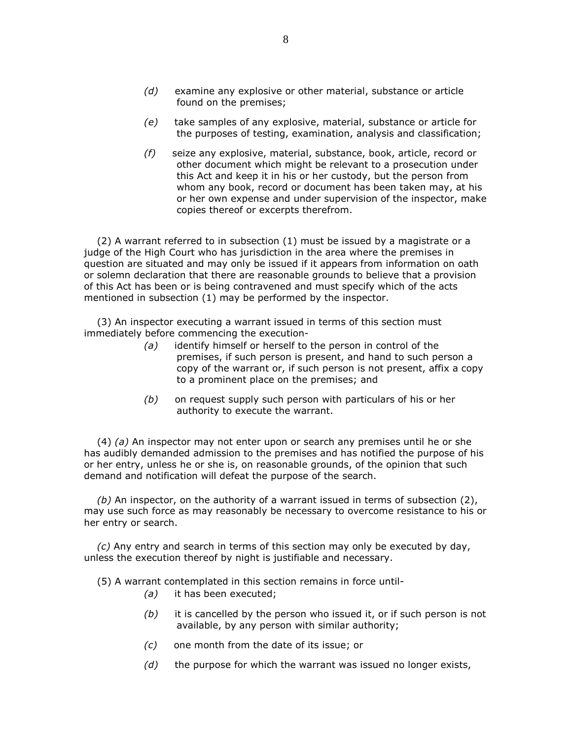- (d) examine any explosive or other material, substance or article found on the premises;
- (e) take samples of any explosive, material, substance or article for the purposes of testing, examination, analysis and classification;
- (f) seize any explosive, material, substance, book, article, record or other document which might be relevant to a prosecution under this Act and keep it in his or her custody, but the person from whom any book, record or document has been taken may, at his or her own expense and under supervision of the inspector, make copies thereof or excerpts therefrom.

 (2) A warrant referred to in subsection (1) must be issued by a magistrate or a judge of the High Court who has jurisdiction in the area where the premises in question are situated and may only be issued if it appears from information on oath or solemn declaration that there are reasonable grounds to believe that a provision of this Act has been or is being contravened and must specify which of the acts mentioned in subsection (1) may be performed by the inspector.

 (3) An inspector executing a warrant issued in terms of this section must immediately before commencing the execution-

- $(a)$  identify himself or herself to the person in control of the premises, if such person is present, and hand to such person a copy of the warrant or, if such person is not present, affix a copy to a prominent place on the premises; and
- $(b)$  on request supply such person with particulars of his or her authority to execute the warrant.

 (4) (a) An inspector may not enter upon or search any premises until he or she has audibly demanded admission to the premises and has notified the purpose of his or her entry, unless he or she is, on reasonable grounds, of the opinion that such demand and notification will defeat the purpose of the search.

(b) An inspector, on the authority of a warrant issued in terms of subsection  $(2)$ , may use such force as may reasonably be necessary to overcome resistance to his or her entry or search.

 $(c)$  Any entry and search in terms of this section may only be executed by day, unless the execution thereof by night is justifiable and necessary.

(5) A warrant contemplated in this section remains in force until-

- (a) it has been executed;
- $(b)$  it is cancelled by the person who issued it, or if such person is not available, by any person with similar authority;
- (c) one month from the date of its issue; or
- $(d)$  the purpose for which the warrant was issued no longer exists,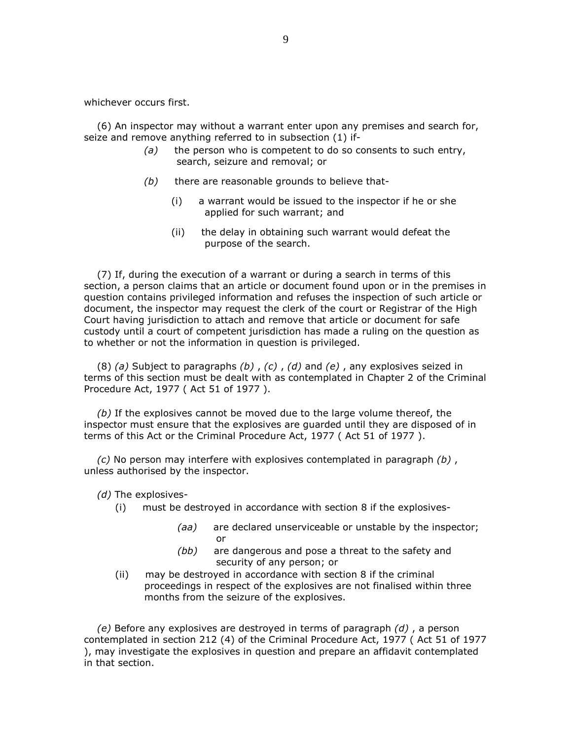whichever occurs first.

 (6) An inspector may without a warrant enter upon any premises and search for, seize and remove anything referred to in subsection (1) if-

- $(a)$  the person who is competent to do so consents to such entry, search, seizure and removal; or
- $(b)$  there are reasonable grounds to believe that-
	- (i) a warrant would be issued to the inspector if he or she applied for such warrant; and
	- (ii) the delay in obtaining such warrant would defeat the purpose of the search.

 (7) If, during the execution of a warrant or during a search in terms of this section, a person claims that an article or document found upon or in the premises in question contains privileged information and refuses the inspection of such article or document, the inspector may request the clerk of the court or Registrar of the High Court having jurisdiction to attach and remove that article or document for safe custody until a court of competent jurisdiction has made a ruling on the question as to whether or not the information in question is privileged.

(8) (a) Subject to paragraphs (b), (c), (d) and (e), any explosives seized in terms of this section must be dealt with as contemplated in Chapter 2 of the Criminal Procedure Act, 1977 ( Act 51 of 1977 ).

(b) If the explosives cannot be moved due to the large volume thereof, the inspector must ensure that the explosives are guarded until they are disposed of in terms of this Act or the Criminal Procedure Act, 1977 ( Act 51 of 1977 ).

(c) No person may interfere with explosives contemplated in paragraph  $(b)$ , unless authorised by the inspector.

(d) The explosives-

- (i) must be destroyed in accordance with section 8 if the explosives-
	- (aa) are declared unserviceable or unstable by the inspector; or
	- (bb) are dangerous and pose a threat to the safety and security of any person; or
- (ii) may be destroyed in accordance with section 8 if the criminal proceedings in respect of the explosives are not finalised within three months from the seizure of the explosives.

(e) Before any explosives are destroyed in terms of paragraph  $(d)$ , a person contemplated in section 212 (4) of the Criminal Procedure Act, 1977 ( Act 51 of 1977 ), may investigate the explosives in question and prepare an affidavit contemplated in that section.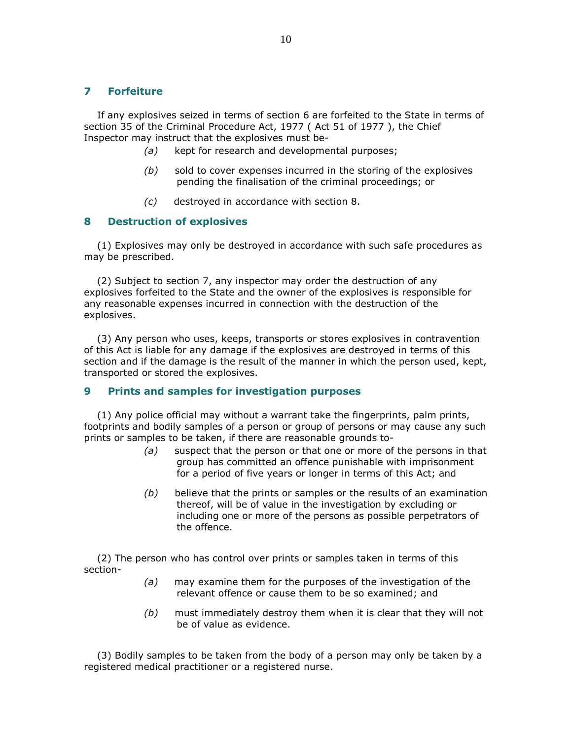## 7 Forfeiture

 If any explosives seized in terms of section 6 are forfeited to the State in terms of section 35 of the Criminal Procedure Act, 1977 ( Act 51 of 1977 ), the Chief Inspector may instruct that the explosives must be-

- (a) kept for research and developmental purposes;
- (b) sold to cover expenses incurred in the storing of the explosives pending the finalisation of the criminal proceedings; or
- (c) destroyed in accordance with section 8.

# 8 Destruction of explosives

 (1) Explosives may only be destroyed in accordance with such safe procedures as may be prescribed.

 (2) Subject to section 7, any inspector may order the destruction of any explosives forfeited to the State and the owner of the explosives is responsible for any reasonable expenses incurred in connection with the destruction of the explosives.

 (3) Any person who uses, keeps, transports or stores explosives in contravention of this Act is liable for any damage if the explosives are destroyed in terms of this section and if the damage is the result of the manner in which the person used, kept, transported or stored the explosives.

## 9 Prints and samples for investigation purposes

 (1) Any police official may without a warrant take the fingerprints, palm prints, footprints and bodily samples of a person or group of persons or may cause any such prints or samples to be taken, if there are reasonable grounds to-

- $(a)$  suspect that the person or that one or more of the persons in that group has committed an offence punishable with imprisonment for a period of five years or longer in terms of this Act; and
- $(b)$  believe that the prints or samples or the results of an examination thereof, will be of value in the investigation by excluding or including one or more of the persons as possible perpetrators of the offence.

 (2) The person who has control over prints or samples taken in terms of this section-

- $(a)$  may examine them for the purposes of the investigation of the relevant offence or cause them to be so examined; and
- $(b)$  must immediately destroy them when it is clear that they will not be of value as evidence.

 (3) Bodily samples to be taken from the body of a person may only be taken by a registered medical practitioner or a registered nurse.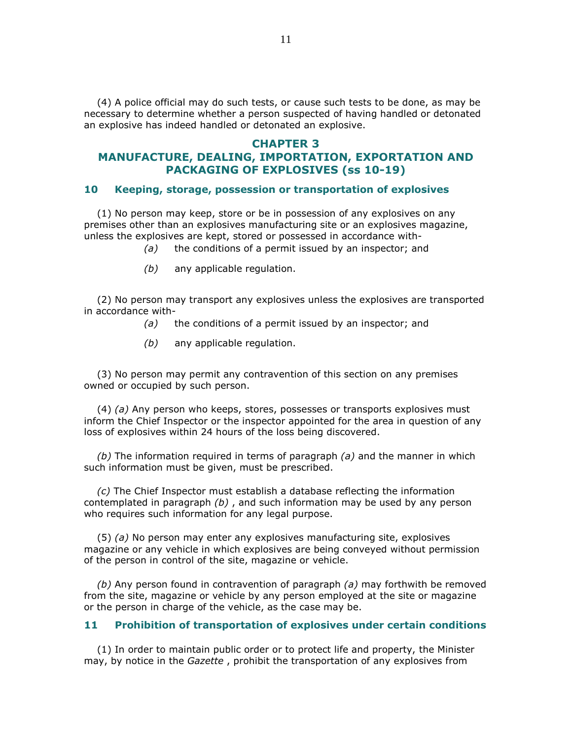(4) A police official may do such tests, or cause such tests to be done, as may be necessary to determine whether a person suspected of having handled or detonated an explosive has indeed handled or detonated an explosive.

## CHAPTER 3

# MANUFACTURE, DEALING, IMPORTATION, EXPORTATION AND PACKAGING OF EXPLOSIVES (ss 10-19)

#### 10 Keeping, storage, possession or transportation of explosives

 (1) No person may keep, store or be in possession of any explosives on any premises other than an explosives manufacturing site or an explosives magazine, unless the explosives are kept, stored or possessed in accordance with-

- $(a)$  the conditions of a permit issued by an inspector; and
- (b) any applicable regulation.

 (2) No person may transport any explosives unless the explosives are transported in accordance with-

- $(a)$  the conditions of a permit issued by an inspector; and
- (b) any applicable regulation.

 (3) No person may permit any contravention of this section on any premises owned or occupied by such person.

 $(4)$  (a) Any person who keeps, stores, possesses or transports explosives must inform the Chief Inspector or the inspector appointed for the area in question of any loss of explosives within 24 hours of the loss being discovered.

(b) The information required in terms of paragraph (a) and the manner in which such information must be given, must be prescribed.

 (c) The Chief Inspector must establish a database reflecting the information contemplated in paragraph  $(b)$ , and such information may be used by any person who requires such information for any legal purpose.

 $(5)$  (a) No person may enter any explosives manufacturing site, explosives magazine or any vehicle in which explosives are being conveyed without permission of the person in control of the site, magazine or vehicle.

(b) Any person found in contravention of paragraph  $(a)$  may forthwith be removed from the site, magazine or vehicle by any person employed at the site or magazine or the person in charge of the vehicle, as the case may be.

#### 11 Prohibition of transportation of explosives under certain conditions

 (1) In order to maintain public order or to protect life and property, the Minister may, by notice in the Gazette, prohibit the transportation of any explosives from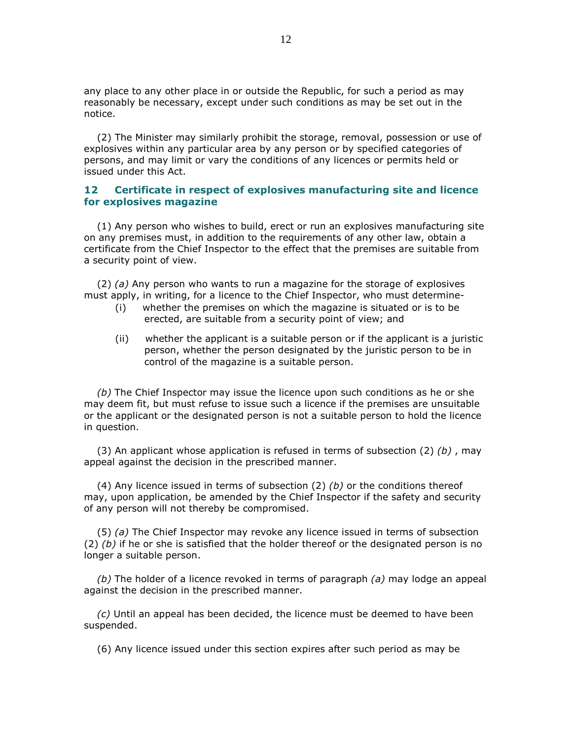any place to any other place in or outside the Republic, for such a period as may reasonably be necessary, except under such conditions as may be set out in the notice.

 (2) The Minister may similarly prohibit the storage, removal, possession or use of explosives within any particular area by any person or by specified categories of persons, and may limit or vary the conditions of any licences or permits held or issued under this Act.

## 12 Certificate in respect of explosives manufacturing site and licence for explosives magazine

 (1) Any person who wishes to build, erect or run an explosives manufacturing site on any premises must, in addition to the requirements of any other law, obtain a certificate from the Chief Inspector to the effect that the premises are suitable from a security point of view.

 (2) (a) Any person who wants to run a magazine for the storage of explosives must apply, in writing, for a licence to the Chief Inspector, who must determine-

- (i) whether the premises on which the magazine is situated or is to be erected, are suitable from a security point of view; and
- (ii) whether the applicant is a suitable person or if the applicant is a juristic person, whether the person designated by the juristic person to be in control of the magazine is a suitable person.

 (b) The Chief Inspector may issue the licence upon such conditions as he or she may deem fit, but must refuse to issue such a licence if the premises are unsuitable or the applicant or the designated person is not a suitable person to hold the licence in question.

(3) An applicant whose application is refused in terms of subsection (2) (b), may appeal against the decision in the prescribed manner.

(4) Any licence issued in terms of subsection (2)  $(b)$  or the conditions thereof may, upon application, be amended by the Chief Inspector if the safety and security of any person will not thereby be compromised.

 (5) (a) The Chief Inspector may revoke any licence issued in terms of subsection  $(2)$  (b) if he or she is satisfied that the holder thereof or the designated person is no longer a suitable person.

(b) The holder of a licence revoked in terms of paragraph  $(a)$  may lodge an appeal against the decision in the prescribed manner.

 $(c)$  Until an appeal has been decided, the licence must be deemed to have been suspended.

(6) Any licence issued under this section expires after such period as may be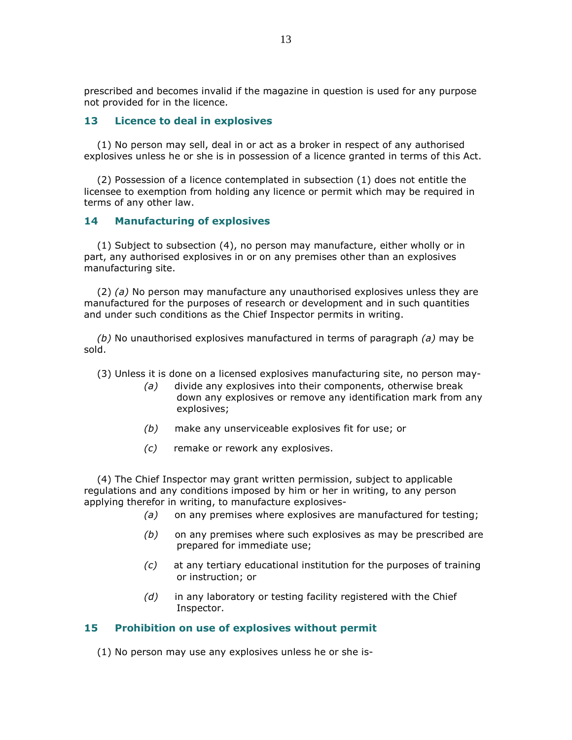prescribed and becomes invalid if the magazine in question is used for any purpose not provided for in the licence.

## 13 Licence to deal in explosives

 (1) No person may sell, deal in or act as a broker in respect of any authorised explosives unless he or she is in possession of a licence granted in terms of this Act.

 (2) Possession of a licence contemplated in subsection (1) does not entitle the licensee to exemption from holding any licence or permit which may be required in terms of any other law.

#### 14 Manufacturing of explosives

 (1) Subject to subsection (4), no person may manufacture, either wholly or in part, any authorised explosives in or on any premises other than an explosives manufacturing site.

 $(2)$  (a) No person may manufacture any unauthorised explosives unless they are manufactured for the purposes of research or development and in such quantities and under such conditions as the Chief Inspector permits in writing.

(b) No unauthorised explosives manufactured in terms of paragraph  $(a)$  may be sold.

(3) Unless it is done on a licensed explosives manufacturing site, no person may-

- (a) divide any explosives into their components, otherwise break down any explosives or remove any identification mark from any explosives;
- (b) make any unserviceable explosives fit for use; or
- (c) remake or rework any explosives.

 (4) The Chief Inspector may grant written permission, subject to applicable regulations and any conditions imposed by him or her in writing, to any person applying therefor in writing, to manufacture explosives-

- (a) on any premises where explosives are manufactured for testing;
- $(b)$  on any premises where such explosives as may be prescribed are prepared for immediate use;
- (c) at any tertiary educational institution for the purposes of training or instruction; or
- $(d)$  in any laboratory or testing facility registered with the Chief Inspector.

#### 15 Prohibition on use of explosives without permit

(1) No person may use any explosives unless he or she is-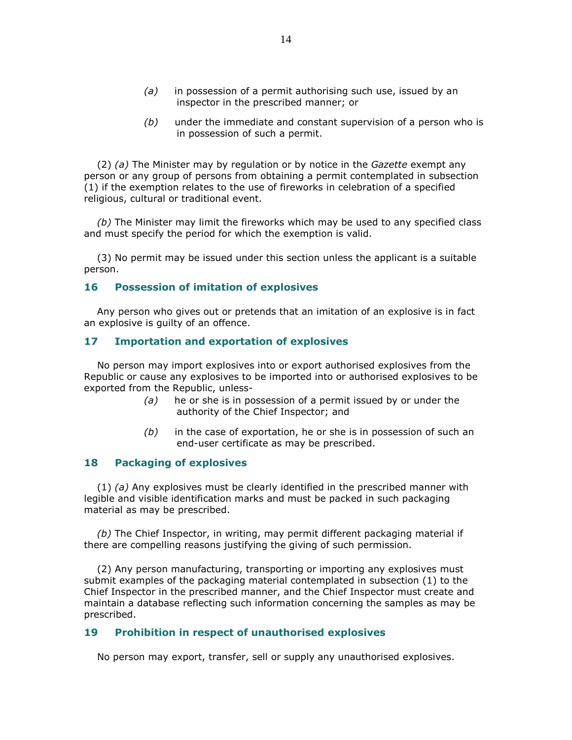- $(a)$  in possession of a permit authorising such use, issued by an inspector in the prescribed manner; or
- $(b)$  under the immediate and constant supervision of a person who is in possession of such a permit.

(2) (a) The Minister may by regulation or by notice in the Gazette exempt any person or any group of persons from obtaining a permit contemplated in subsection (1) if the exemption relates to the use of fireworks in celebration of a specified religious, cultural or traditional event.

(b) The Minister may limit the fireworks which may be used to any specified class and must specify the period for which the exemption is valid.

 (3) No permit may be issued under this section unless the applicant is a suitable person.

#### 16 Possession of imitation of explosives

 Any person who gives out or pretends that an imitation of an explosive is in fact an explosive is guilty of an offence.

#### 17 Importation and exportation of explosives

 No person may import explosives into or export authorised explosives from the Republic or cause any explosives to be imported into or authorised explosives to be exported from the Republic, unless-

- $(a)$  he or she is in possession of a permit issued by or under the authority of the Chief Inspector; and
- $(b)$  in the case of exportation, he or she is in possession of such an end-user certificate as may be prescribed.

#### 18 Packaging of explosives

 $(1)$  (a) Any explosives must be clearly identified in the prescribed manner with legible and visible identification marks and must be packed in such packaging material as may be prescribed.

(b) The Chief Inspector, in writing, may permit different packaging material if there are compelling reasons justifying the giving of such permission.

 (2) Any person manufacturing, transporting or importing any explosives must submit examples of the packaging material contemplated in subsection (1) to the Chief Inspector in the prescribed manner, and the Chief Inspector must create and maintain a database reflecting such information concerning the samples as may be prescribed.

#### 19 Prohibition in respect of unauthorised explosives

No person may export, transfer, sell or supply any unauthorised explosives.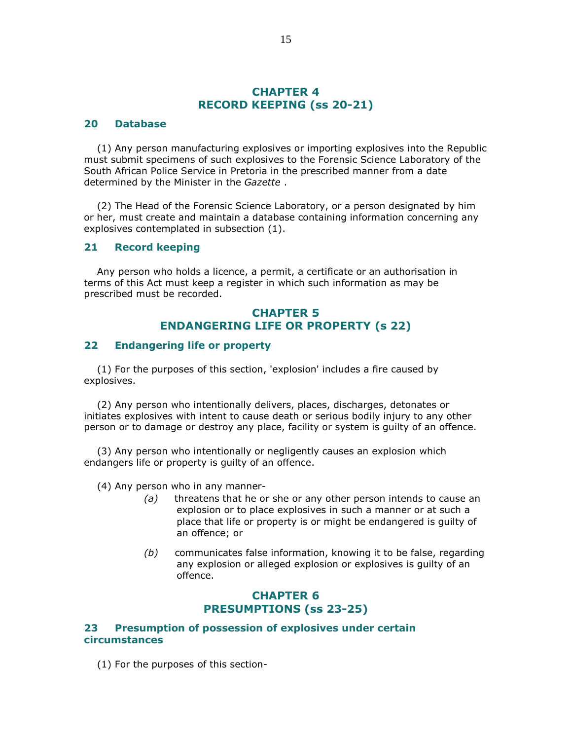# CHAPTER 4 RECORD KEEPING (ss 20-21)

#### 20 Database

 (1) Any person manufacturing explosives or importing explosives into the Republic must submit specimens of such explosives to the Forensic Science Laboratory of the South African Police Service in Pretoria in the prescribed manner from a date determined by the Minister in the Gazette.

 (2) The Head of the Forensic Science Laboratory, or a person designated by him or her, must create and maintain a database containing information concerning any explosives contemplated in subsection (1).

## 21 Record keeping

 Any person who holds a licence, a permit, a certificate or an authorisation in terms of this Act must keep a register in which such information as may be prescribed must be recorded.

# CHAPTER 5 ENDANGERING LIFE OR PROPERTY (s 22)

# 22 Endangering life or property

 (1) For the purposes of this section, 'explosion' includes a fire caused by explosives.

 (2) Any person who intentionally delivers, places, discharges, detonates or initiates explosives with intent to cause death or serious bodily injury to any other person or to damage or destroy any place, facility or system is guilty of an offence.

 (3) Any person who intentionally or negligently causes an explosion which endangers life or property is guilty of an offence.

(4) Any person who in any manner-

- $(a)$  threatens that he or she or any other person intends to cause an explosion or to place explosives in such a manner or at such a place that life or property is or might be endangered is guilty of an offence; or
- $(b)$  communicates false information, knowing it to be false, regarding any explosion or alleged explosion or explosives is guilty of an offence.

# CHAPTER 6 PRESUMPTIONS (ss 23-25)

#### 23 Presumption of possession of explosives under certain circumstances

(1) For the purposes of this section-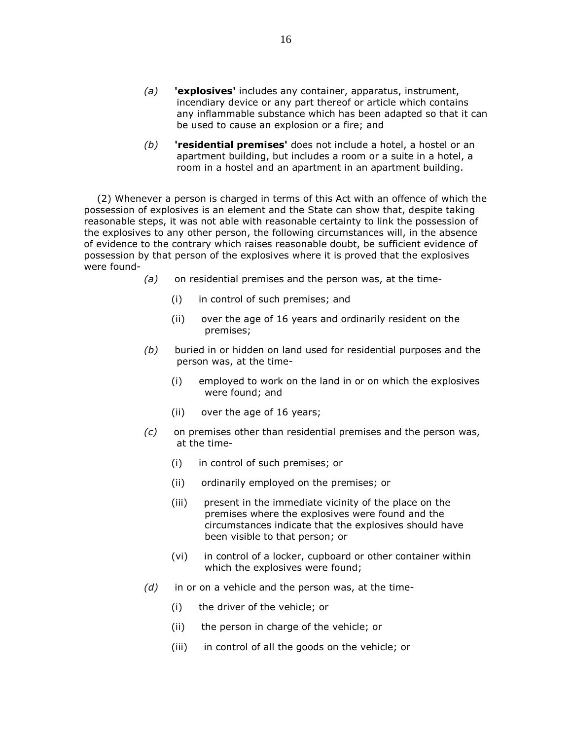- $(a)$  'explosives' includes any container, apparatus, instrument, incendiary device or any part thereof or article which contains any inflammable substance which has been adapted so that it can be used to cause an explosion or a fire; and
- $(b)$  **'residential premises'** does not include a hotel, a hostel or an apartment building, but includes a room or a suite in a hotel, a room in a hostel and an apartment in an apartment building.

 (2) Whenever a person is charged in terms of this Act with an offence of which the possession of explosives is an element and the State can show that, despite taking reasonable steps, it was not able with reasonable certainty to link the possession of the explosives to any other person, the following circumstances will, in the absence of evidence to the contrary which raises reasonable doubt, be sufficient evidence of possession by that person of the explosives where it is proved that the explosives were found-

- $(a)$  on residential premises and the person was, at the time-
	- (i) in control of such premises; and
	- (ii) over the age of 16 years and ordinarily resident on the premises;
- $(b)$  buried in or hidden on land used for residential purposes and the person was, at the time-
	- (i) employed to work on the land in or on which the explosives were found; and
	- (ii) over the age of 16 years;
- (c) on premises other than residential premises and the person was, at the time-
	- (i) in control of such premises; or
	- (ii) ordinarily employed on the premises; or
	- (iii) present in the immediate vicinity of the place on the premises where the explosives were found and the circumstances indicate that the explosives should have been visible to that person; or
	- (vi) in control of a locker, cupboard or other container within which the explosives were found;
- $(d)$  in or on a vehicle and the person was, at the time-
	- (i) the driver of the vehicle; or
	- (ii) the person in charge of the vehicle; or
	- (iii) in control of all the goods on the vehicle; or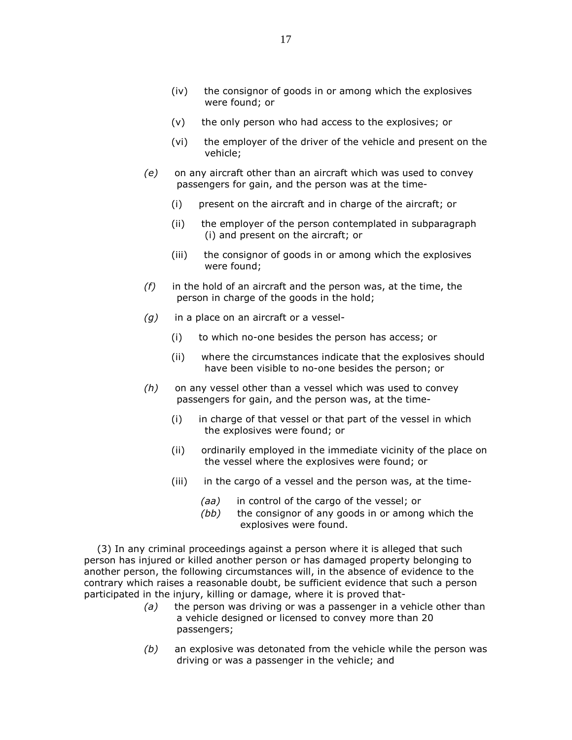- (iv) the consignor of goods in or among which the explosives were found; or
- (v) the only person who had access to the explosives; or
- (vi) the employer of the driver of the vehicle and present on the vehicle;
- (e) on any aircraft other than an aircraft which was used to convey passengers for gain, and the person was at the time-
	- (i) present on the aircraft and in charge of the aircraft; or
	- (ii) the employer of the person contemplated in subparagraph (i) and present on the aircraft; or
	- (iii) the consignor of goods in or among which the explosives were found;
- $(f)$  in the hold of an aircraft and the person was, at the time, the person in charge of the goods in the hold;
- $(g)$  in a place on an aircraft or a vessel-
	- (i) to which no-one besides the person has access; or
	- (ii) where the circumstances indicate that the explosives should have been visible to no-one besides the person; or
- $(h)$  on any vessel other than a vessel which was used to convey passengers for gain, and the person was, at the time-
	- (i) in charge of that vessel or that part of the vessel in which the explosives were found; or
	- (ii) ordinarily employed in the immediate vicinity of the place on the vessel where the explosives were found; or
	- (iii) in the cargo of a vessel and the person was, at the time-
		- (aa) in control of the cargo of the vessel; or
		- (bb) the consignor of any goods in or among which the explosives were found.

 (3) In any criminal proceedings against a person where it is alleged that such person has injured or killed another person or has damaged property belonging to another person, the following circumstances will, in the absence of evidence to the contrary which raises a reasonable doubt, be sufficient evidence that such a person participated in the injury, killing or damage, where it is proved that-

- $(a)$  the person was driving or was a passenger in a vehicle other than a vehicle designed or licensed to convey more than 20 passengers;
- $(b)$  an explosive was detonated from the vehicle while the person was driving or was a passenger in the vehicle; and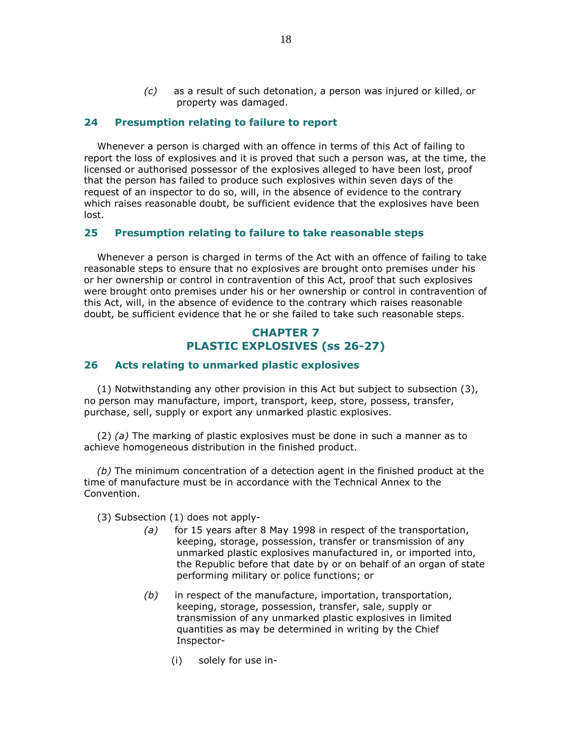$(c)$  as a result of such detonation, a person was injured or killed, or property was damaged.

## 24 Presumption relating to failure to report

 Whenever a person is charged with an offence in terms of this Act of failing to report the loss of explosives and it is proved that such a person was, at the time, the licensed or authorised possessor of the explosives alleged to have been lost, proof that the person has failed to produce such explosives within seven days of the request of an inspector to do so, will, in the absence of evidence to the contrary which raises reasonable doubt, be sufficient evidence that the explosives have been lost.

## 25 Presumption relating to failure to take reasonable steps

 Whenever a person is charged in terms of the Act with an offence of failing to take reasonable steps to ensure that no explosives are brought onto premises under his or her ownership or control in contravention of this Act, proof that such explosives were brought onto premises under his or her ownership or control in contravention of this Act, will, in the absence of evidence to the contrary which raises reasonable doubt, be sufficient evidence that he or she failed to take such reasonable steps.

# CHAPTER 7 PLASTIC EXPLOSIVES (ss 26-27)

## 26 Acts relating to unmarked plastic explosives

 (1) Notwithstanding any other provision in this Act but subject to subsection (3), no person may manufacture, import, transport, keep, store, possess, transfer, purchase, sell, supply or export any unmarked plastic explosives.

 $(2)$  (a) The marking of plastic explosives must be done in such a manner as to achieve homogeneous distribution in the finished product.

(b) The minimum concentration of a detection agent in the finished product at the time of manufacture must be in accordance with the Technical Annex to the Convention.

(3) Subsection (1) does not apply-

- (a) for 15 years after 8 May 1998 in respect of the transportation, keeping, storage, possession, transfer or transmission of any unmarked plastic explosives manufactured in, or imported into, the Republic before that date by or on behalf of an organ of state performing military or police functions; or
- $(b)$  in respect of the manufacture, importation, transportation, keeping, storage, possession, transfer, sale, supply or transmission of any unmarked plastic explosives in limited quantities as may be determined in writing by the Chief Inspector-
	- (i) solely for use in-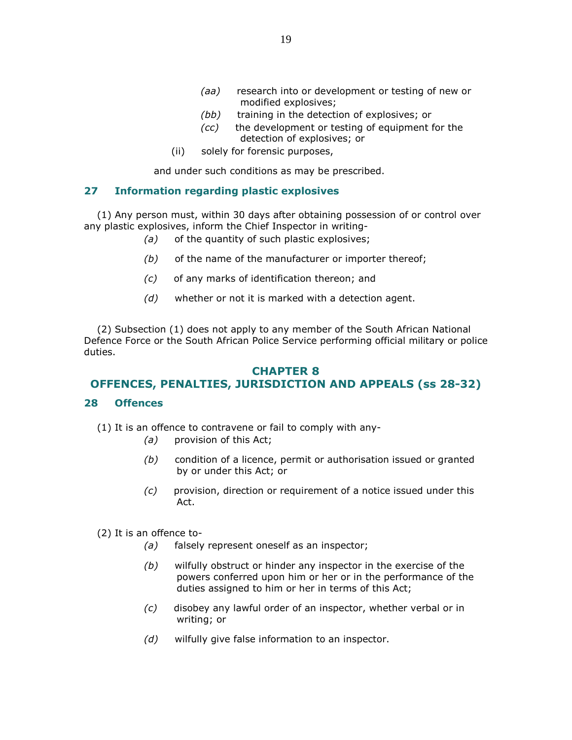- (aa) research into or development or testing of new or modified explosives;
- (bb) training in the detection of explosives; or
- (cc) the development or testing of equipment for the detection of explosives; or
- (ii) solely for forensic purposes,

and under such conditions as may be prescribed.

## 27 Information regarding plastic explosives

 (1) Any person must, within 30 days after obtaining possession of or control over any plastic explosives, inform the Chief Inspector in writing-

- (a) of the quantity of such plastic explosives;
- $(b)$  of the name of the manufacturer or importer thereof;
- (c) of any marks of identification thereon; and
- $(d)$  whether or not it is marked with a detection agent.

 (2) Subsection (1) does not apply to any member of the South African National Defence Force or the South African Police Service performing official military or police duties.

# CHAPTER 8

## OFFENCES, PENALTIES, JURISDICTION AND APPEALS (ss 28-32)

## 28 Offences

- (1) It is an offence to contravene or fail to comply with any-
	- (a) provision of this Act;
	- $(b)$  condition of a licence, permit or authorisation issued or granted by or under this Act; or
	- (c) provision, direction or requirement of a notice issued under this Act.
- (2) It is an offence to-
	- (a) falsely represent oneself as an inspector;
	- (b) wilfully obstruct or hinder any inspector in the exercise of the powers conferred upon him or her or in the performance of the duties assigned to him or her in terms of this Act;
	- (c) disobey any lawful order of an inspector, whether verbal or in writing; or
	- (d) wilfully give false information to an inspector.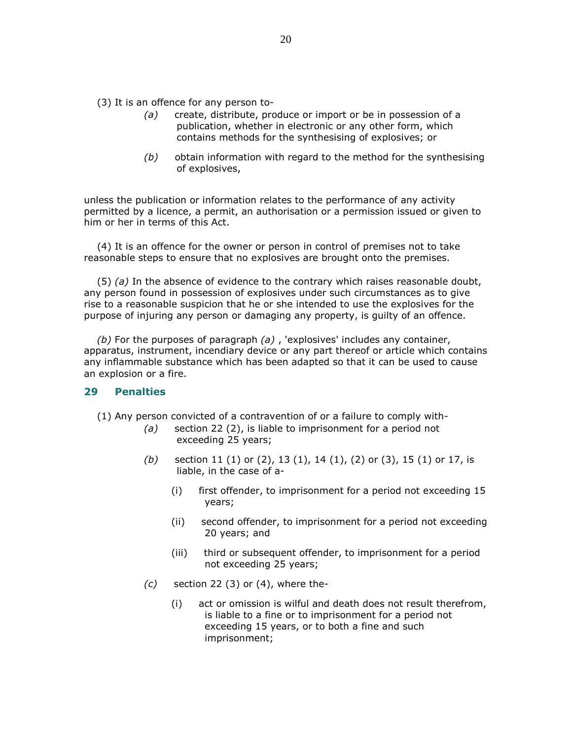(3) It is an offence for any person to-

- (a) create, distribute, produce or import or be in possession of a publication, whether in electronic or any other form, which contains methods for the synthesising of explosives; or
- $(b)$  obtain information with regard to the method for the synthesising of explosives,

unless the publication or information relates to the performance of any activity permitted by a licence, a permit, an authorisation or a permission issued or given to him or her in terms of this Act.

 (4) It is an offence for the owner or person in control of premises not to take reasonable steps to ensure that no explosives are brought onto the premises.

(5) (a) In the absence of evidence to the contrary which raises reasonable doubt, any person found in possession of explosives under such circumstances as to give rise to a reasonable suspicion that he or she intended to use the explosives for the purpose of injuring any person or damaging any property, is guilty of an offence.

(b) For the purposes of paragraph  $(a)$ , 'explosives' includes any container, apparatus, instrument, incendiary device or any part thereof or article which contains any inflammable substance which has been adapted so that it can be used to cause an explosion or a fire.

#### 29 Penalties

- (1) Any person convicted of a contravention of or a failure to comply with-
	- (a) section 22 (2), is liable to imprisonment for a period not exceeding 25 years;
	- (b) section 11 (1) or (2), 13 (1), 14 (1), (2) or (3), 15 (1) or 17, is liable, in the case of a-
		- (i) first offender, to imprisonment for a period not exceeding 15 years;
		- (ii) second offender, to imprisonment for a period not exceeding 20 years; and
		- (iii) third or subsequent offender, to imprisonment for a period not exceeding 25 years;
	- $(c)$  section 22 (3) or (4), where the-
		- (i) act or omission is wilful and death does not result therefrom, is liable to a fine or to imprisonment for a period not exceeding 15 years, or to both a fine and such imprisonment;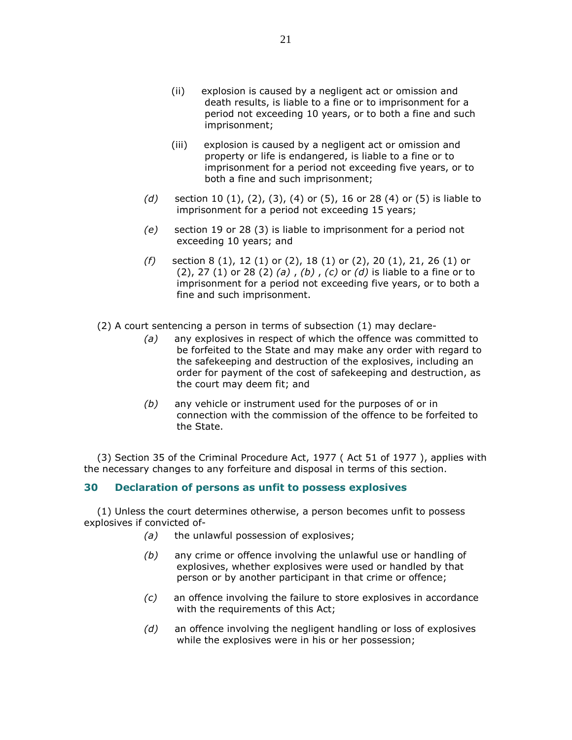- (ii) explosion is caused by a negligent act or omission and death results, is liable to a fine or to imprisonment for a period not exceeding 10 years, or to both a fine and such imprisonment;
- (iii) explosion is caused by a negligent act or omission and property or life is endangered, is liable to a fine or to imprisonment for a period not exceeding five years, or to both a fine and such imprisonment;
- (d) section 10 (1), (2), (3), (4) or (5), 16 or 28 (4) or (5) is liable to imprisonment for a period not exceeding 15 years;
- (e) section 19 or 28 (3) is liable to imprisonment for a period not exceeding 10 years; and
- (f) section 8 (1), 12 (1) or (2), 18 (1) or (2), 20 (1), 21, 26 (1) or (2), 27 (1) or 28 (2) (a), (b), (c) or (d) is liable to a fine or to imprisonment for a period not exceeding five years, or to both a fine and such imprisonment.
- (2) A court sentencing a person in terms of subsection (1) may declare-
	- (a) any explosives in respect of which the offence was committed to be forfeited to the State and may make any order with regard to the safekeeping and destruction of the explosives, including an order for payment of the cost of safekeeping and destruction, as the court may deem fit; and
	- $(b)$  any vehicle or instrument used for the purposes of or in connection with the commission of the offence to be forfeited to the State.

 (3) Section 35 of the Criminal Procedure Act, 1977 ( Act 51 of 1977 ), applies with the necessary changes to any forfeiture and disposal in terms of this section.

## 30 Declaration of persons as unfit to possess explosives

 (1) Unless the court determines otherwise, a person becomes unfit to possess explosives if convicted of-

- (a) the unlawful possession of explosives;
- (b) any crime or offence involving the unlawful use or handling of explosives, whether explosives were used or handled by that person or by another participant in that crime or offence;
- (c) an offence involving the failure to store explosives in accordance with the requirements of this Act;
- (d) an offence involving the negligent handling or loss of explosives while the explosives were in his or her possession;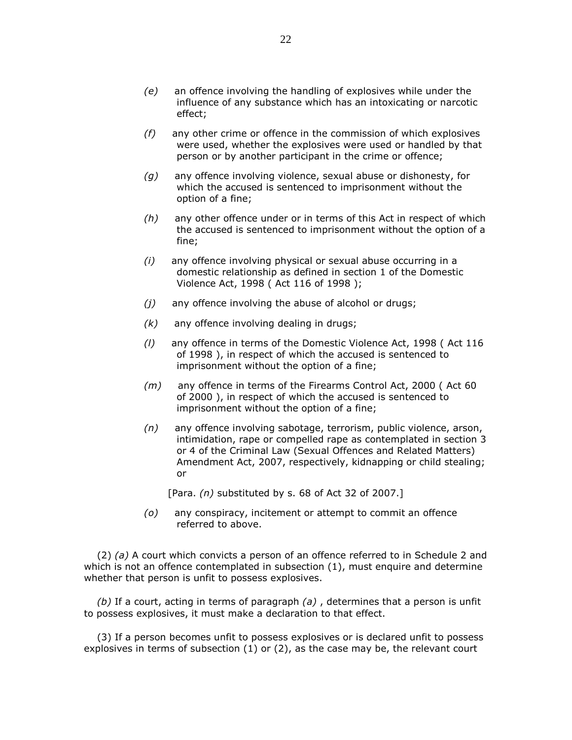- (e) an offence involving the handling of explosives while under the influence of any substance which has an intoxicating or narcotic effect;
- $(f)$  any other crime or offence in the commission of which explosives were used, whether the explosives were used or handled by that person or by another participant in the crime or offence;
- $(q)$  any offence involving violence, sexual abuse or dishonesty, for which the accused is sentenced to imprisonment without the option of a fine;
- (h) any other offence under or in terms of this Act in respect of which the accused is sentenced to imprisonment without the option of a fine;
- $(i)$  any offence involving physical or sexual abuse occurring in a domestic relationship as defined in section 1 of the Domestic Violence Act, 1998 ( Act 116 of 1998 );
- $(j)$  any offence involving the abuse of alcohol or drugs;
- $(k)$  any offence involving dealing in drugs;
- (l) any offence in terms of the Domestic Violence Act, 1998 ( Act 116 of 1998 ), in respect of which the accused is sentenced to imprisonment without the option of a fine;
- (m) any offence in terms of the Firearms Control Act, 2000 (Act 60 of 2000 ), in respect of which the accused is sentenced to imprisonment without the option of a fine;
- $(n)$  any offence involving sabotage, terrorism, public violence, arson, intimidation, rape or compelled rape as contemplated in section 3 or 4 of the Criminal Law (Sexual Offences and Related Matters) Amendment Act, 2007, respectively, kidnapping or child stealing; or

[Para. (n) substituted by s. 68 of Act 32 of 2007.]

 (o) any conspiracy, incitement or attempt to commit an offence referred to above.

 $(2)$  (a) A court which convicts a person of an offence referred to in Schedule 2 and which is not an offence contemplated in subsection (1), must enquire and determine whether that person is unfit to possess explosives.

(b) If a court, acting in terms of paragraph  $(a)$ , determines that a person is unfit to possess explosives, it must make a declaration to that effect.

 (3) If a person becomes unfit to possess explosives or is declared unfit to possess explosives in terms of subsection  $(1)$  or  $(2)$ , as the case may be, the relevant court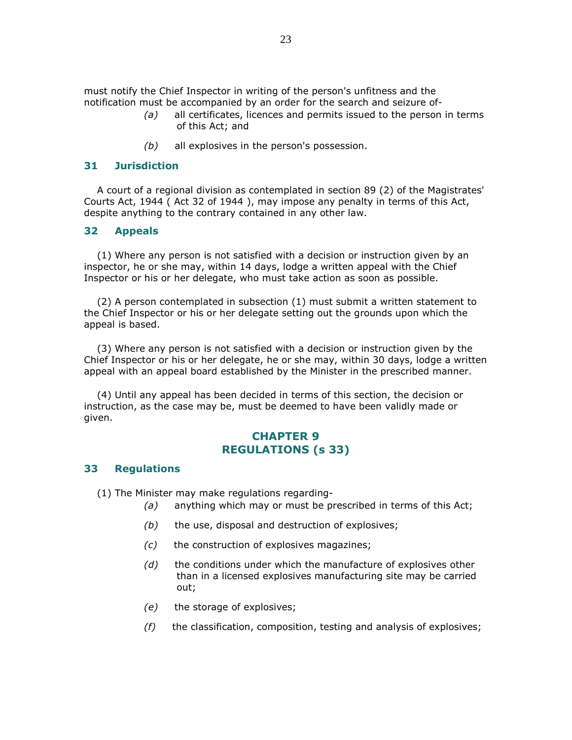must notify the Chief Inspector in writing of the person's unfitness and the notification must be accompanied by an order for the search and seizure of-

- $(a)$  all certificates, licences and permits issued to the person in terms of this Act; and
- $(b)$  all explosives in the person's possession.

## 31 Jurisdiction

 A court of a regional division as contemplated in section 89 (2) of the Magistrates' Courts Act, 1944 ( Act 32 of 1944 ), may impose any penalty in terms of this Act, despite anything to the contrary contained in any other law.

# 32 Appeals

 (1) Where any person is not satisfied with a decision or instruction given by an inspector, he or she may, within 14 days, lodge a written appeal with the Chief Inspector or his or her delegate, who must take action as soon as possible.

 (2) A person contemplated in subsection (1) must submit a written statement to the Chief Inspector or his or her delegate setting out the grounds upon which the appeal is based.

 (3) Where any person is not satisfied with a decision or instruction given by the Chief Inspector or his or her delegate, he or she may, within 30 days, lodge a written appeal with an appeal board established by the Minister in the prescribed manner.

 (4) Until any appeal has been decided in terms of this section, the decision or instruction, as the case may be, must be deemed to have been validly made or given.

# CHAPTER 9 REGULATIONS (s 33)

#### 33 Regulations

(1) The Minister may make regulations regarding-

- $(a)$  anything which may or must be prescribed in terms of this Act;
- $(b)$  the use, disposal and destruction of explosives;
- (c) the construction of explosives magazines;
- $(d)$  the conditions under which the manufacture of explosives other than in a licensed explosives manufacturing site may be carried out;
- (e) the storage of explosives;
- $(f)$  the classification, composition, testing and analysis of explosives;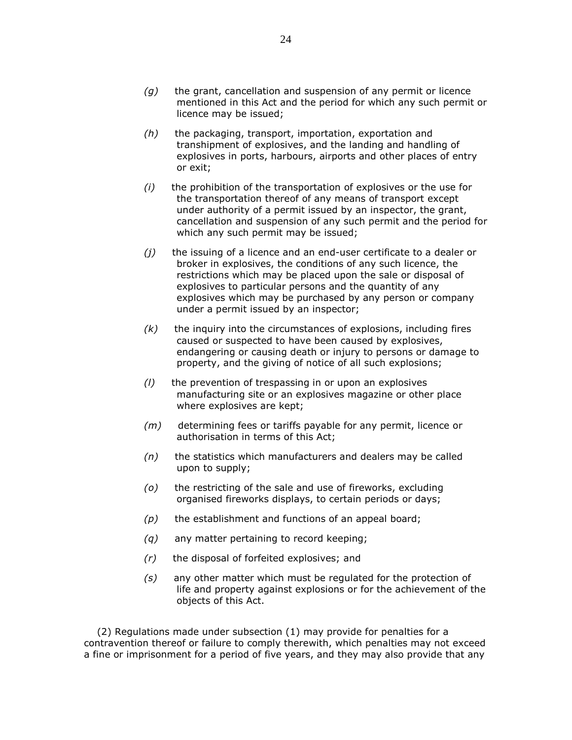- $(g)$  the grant, cancellation and suspension of any permit or licence mentioned in this Act and the period for which any such permit or licence may be issued;
- $(h)$  the packaging, transport, importation, exportation and transhipment of explosives, and the landing and handling of explosives in ports, harbours, airports and other places of entry or exit;
- $(i)$  the prohibition of the transportation of explosives or the use for the transportation thereof of any means of transport except under authority of a permit issued by an inspector, the grant, cancellation and suspension of any such permit and the period for which any such permit may be issued;
- $(i)$  the issuing of a licence and an end-user certificate to a dealer or broker in explosives, the conditions of any such licence, the restrictions which may be placed upon the sale or disposal of explosives to particular persons and the quantity of any explosives which may be purchased by any person or company under a permit issued by an inspector;
- $(k)$  the inquiry into the circumstances of explosions, including fires caused or suspected to have been caused by explosives, endangering or causing death or injury to persons or damage to property, and the giving of notice of all such explosions;
- $(l)$  the prevention of trespassing in or upon an explosives manufacturing site or an explosives magazine or other place where explosives are kept;
- $(m)$  determining fees or tariffs payable for any permit, licence or authorisation in terms of this Act;
- $(n)$  the statistics which manufacturers and dealers may be called upon to supply;
- (o) the restricting of the sale and use of fireworks, excluding organised fireworks displays, to certain periods or days;
- $(p)$  the establishment and functions of an appeal board;
- $(q)$  any matter pertaining to record keeping;
- $(r)$  the disposal of forfeited explosives; and
- $(s)$  any other matter which must be regulated for the protection of life and property against explosions or for the achievement of the objects of this Act.

 (2) Regulations made under subsection (1) may provide for penalties for a contravention thereof or failure to comply therewith, which penalties may not exceed a fine or imprisonment for a period of five years, and they may also provide that any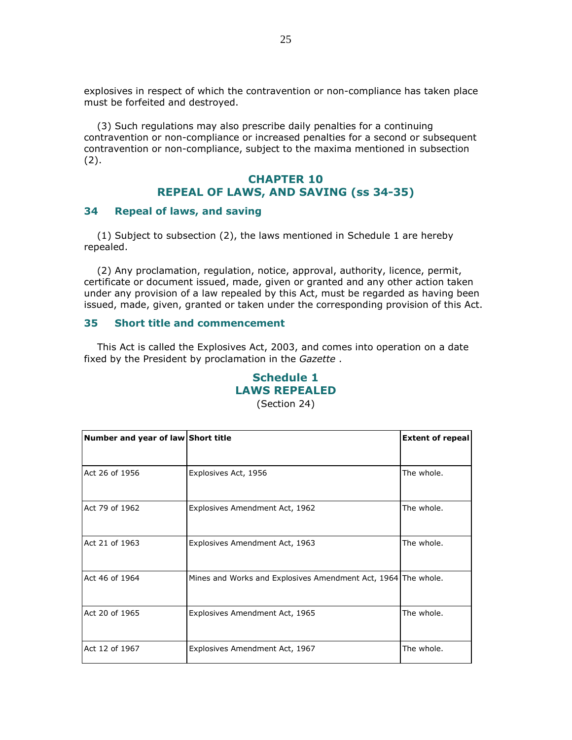explosives in respect of which the contravention or non-compliance has taken place must be forfeited and destroyed.

 (3) Such regulations may also prescribe daily penalties for a continuing contravention or non-compliance or increased penalties for a second or subsequent contravention or non-compliance, subject to the maxima mentioned in subsection (2).

# CHAPTER 10 REPEAL OF LAWS, AND SAVING (ss 34-35)

# 34 Repeal of laws, and saving

 (1) Subject to subsection (2), the laws mentioned in Schedule 1 are hereby repealed.

 (2) Any proclamation, regulation, notice, approval, authority, licence, permit, certificate or document issued, made, given or granted and any other action taken under any provision of a law repealed by this Act, must be regarded as having been issued, made, given, granted or taken under the corresponding provision of this Act.

#### 35 Short title and commencement

 This Act is called the Explosives Act, 2003, and comes into operation on a date fixed by the President by proclamation in the Gazette.

# Schedule 1 LAWS REPEALED (Section 24)

| Number and year of law Short title |                                                               | <b>Extent of repeal</b> |  |
|------------------------------------|---------------------------------------------------------------|-------------------------|--|
|                                    |                                                               |                         |  |
| Act 26 of 1956                     | Explosives Act, 1956                                          | The whole.              |  |
| Act 79 of 1962                     | Explosives Amendment Act, 1962                                | The whole.              |  |
| Act 21 of 1963                     | Explosives Amendment Act, 1963                                | The whole.              |  |
| Act 46 of 1964                     | Mines and Works and Explosives Amendment Act, 1964 The whole. |                         |  |
| Act 20 of 1965                     | Explosives Amendment Act, 1965                                | The whole.              |  |
| Act 12 of 1967                     | Explosives Amendment Act, 1967                                | The whole.              |  |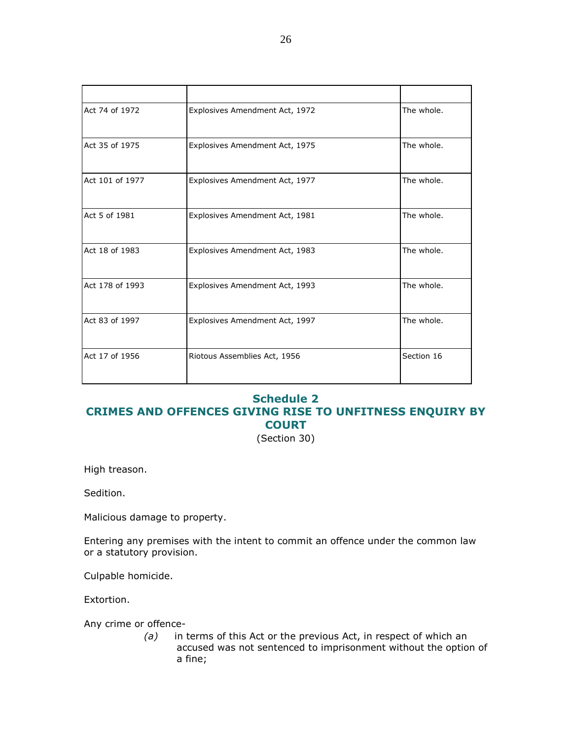| Act 74 of 1972  | Explosives Amendment Act, 1972 | The whole. |
|-----------------|--------------------------------|------------|
| Act 35 of 1975  | Explosives Amendment Act, 1975 | The whole. |
| Act 101 of 1977 | Explosives Amendment Act, 1977 | The whole. |
| Act 5 of 1981   | Explosives Amendment Act, 1981 | The whole. |
| Act 18 of 1983  | Explosives Amendment Act, 1983 | The whole. |
| Act 178 of 1993 | Explosives Amendment Act, 1993 | The whole. |
| Act 83 of 1997  | Explosives Amendment Act, 1997 | The whole. |
| Act 17 of 1956  | Riotous Assemblies Act, 1956   | Section 16 |

# Schedule 2 CRIMES AND OFFENCES GIVING RISE TO UNFITNESS ENQUIRY BY **COURT**

(Section 30)

High treason.

Sedition.

Malicious damage to property.

Entering any premises with the intent to commit an offence under the common law or a statutory provision.

Culpable homicide.

Extortion.

Any crime or offence-

 $(a)$  in terms of this Act or the previous Act, in respect of which an accused was not sentenced to imprisonment without the option of a fine;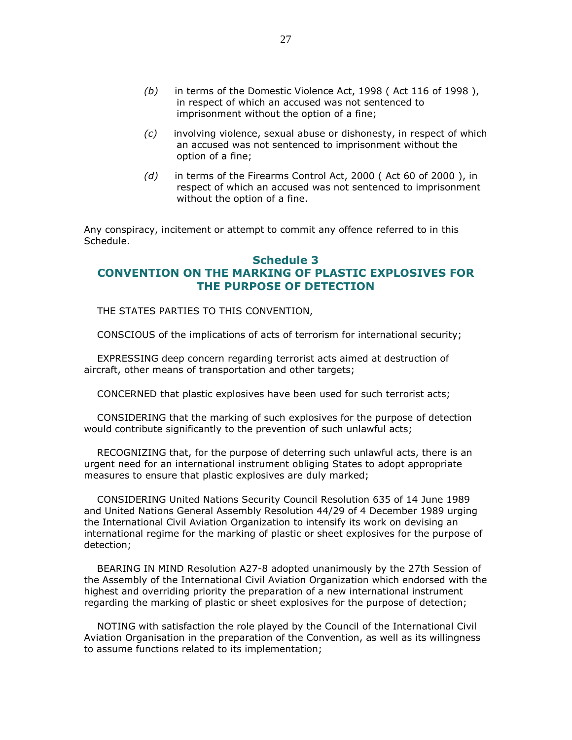- $(b)$  in terms of the Domestic Violence Act, 1998 (Act 116 of 1998), in respect of which an accused was not sentenced to imprisonment without the option of a fine;
- (c) involving violence, sexual abuse or dishonesty, in respect of which an accused was not sentenced to imprisonment without the option of a fine;
- (d) in terms of the Firearms Control Act, 2000 (Act 60 of 2000), in respect of which an accused was not sentenced to imprisonment without the option of a fine.

Any conspiracy, incitement or attempt to commit any offence referred to in this Schedule.

# Schedule 3 CONVENTION ON THE MARKING OF PLASTIC EXPLOSIVES FOR THE PURPOSE OF DETECTION

THE STATES PARTIES TO THIS CONVENTION,

CONSCIOUS of the implications of acts of terrorism for international security;

 EXPRESSING deep concern regarding terrorist acts aimed at destruction of aircraft, other means of transportation and other targets;

CONCERNED that plastic explosives have been used for such terrorist acts;

 CONSIDERING that the marking of such explosives for the purpose of detection would contribute significantly to the prevention of such unlawful acts;

 RECOGNIZING that, for the purpose of deterring such unlawful acts, there is an urgent need for an international instrument obliging States to adopt appropriate measures to ensure that plastic explosives are duly marked;

 CONSIDERING United Nations Security Council Resolution 635 of 14 June 1989 and United Nations General Assembly Resolution 44/29 of 4 December 1989 urging the International Civil Aviation Organization to intensify its work on devising an international regime for the marking of plastic or sheet explosives for the purpose of detection;

 BEARING IN MIND Resolution A27-8 adopted unanimously by the 27th Session of the Assembly of the International Civil Aviation Organization which endorsed with the highest and overriding priority the preparation of a new international instrument regarding the marking of plastic or sheet explosives for the purpose of detection;

 NOTING with satisfaction the role played by the Council of the International Civil Aviation Organisation in the preparation of the Convention, as well as its willingness to assume functions related to its implementation;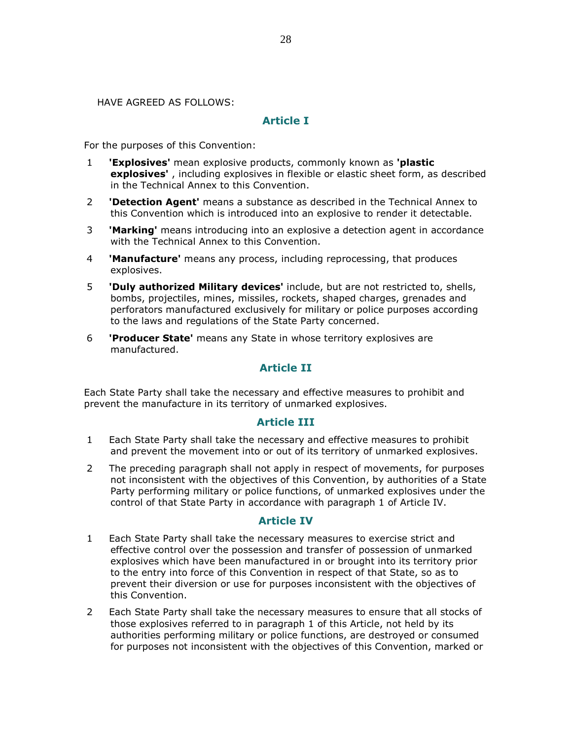## HAVE AGREED AS FOLLOWS:

# Article I

For the purposes of this Convention:

- 1 **Explosives'** mean explosive products, commonly known as **'plastic** explosives', including explosives in flexible or elastic sheet form, as described in the Technical Annex to this Convention.
- 2 **'Detection Agent'** means a substance as described in the Technical Annex to this Convention which is introduced into an explosive to render it detectable.
- 3 **'Marking'** means introducing into an explosive a detection agent in accordance with the Technical Annex to this Convention.
- 4 **'Manufacture'** means any process, including reprocessing, that produces explosives.
- 5 'Duly authorized Military devices' include, but are not restricted to, shells, bombs, projectiles, mines, missiles, rockets, shaped charges, grenades and perforators manufactured exclusively for military or police purposes according to the laws and regulations of the State Party concerned.
- 6 **Producer State'** means any State in whose territory explosives are manufactured.

# Article II

Each State Party shall take the necessary and effective measures to prohibit and prevent the manufacture in its territory of unmarked explosives.

## Article III

- 1 Each State Party shall take the necessary and effective measures to prohibit and prevent the movement into or out of its territory of unmarked explosives.
- 2 The preceding paragraph shall not apply in respect of movements, for purposes not inconsistent with the objectives of this Convention, by authorities of a State Party performing military or police functions, of unmarked explosives under the control of that State Party in accordance with paragraph 1 of Article IV.

## Article IV

- 1 Each State Party shall take the necessary measures to exercise strict and effective control over the possession and transfer of possession of unmarked explosives which have been manufactured in or brought into its territory prior to the entry into force of this Convention in respect of that State, so as to prevent their diversion or use for purposes inconsistent with the objectives of this Convention.
- 2 Each State Party shall take the necessary measures to ensure that all stocks of those explosives referred to in paragraph 1 of this Article, not held by its authorities performing military or police functions, are destroyed or consumed for purposes not inconsistent with the objectives of this Convention, marked or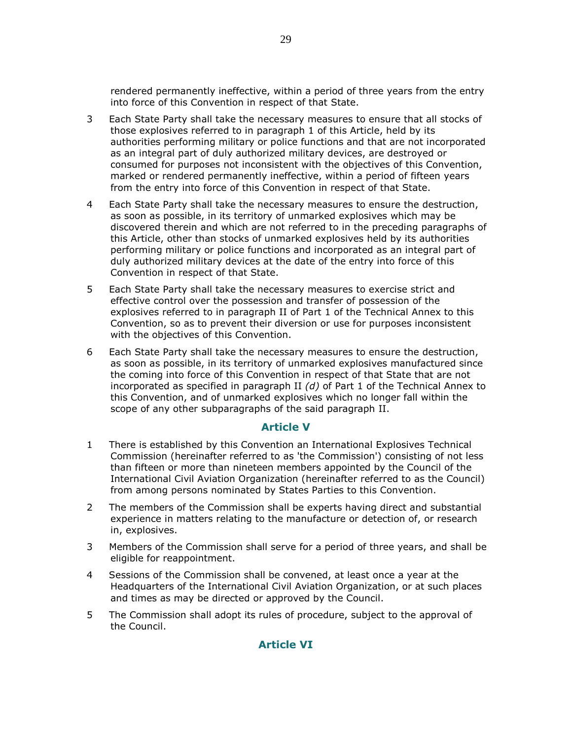rendered permanently ineffective, within a period of three years from the entry into force of this Convention in respect of that State.

- 3 Each State Party shall take the necessary measures to ensure that all stocks of those explosives referred to in paragraph 1 of this Article, held by its authorities performing military or police functions and that are not incorporated as an integral part of duly authorized military devices, are destroyed or consumed for purposes not inconsistent with the objectives of this Convention, marked or rendered permanently ineffective, within a period of fifteen years from the entry into force of this Convention in respect of that State.
- 4 Each State Party shall take the necessary measures to ensure the destruction, as soon as possible, in its territory of unmarked explosives which may be discovered therein and which are not referred to in the preceding paragraphs of this Article, other than stocks of unmarked explosives held by its authorities performing military or police functions and incorporated as an integral part of duly authorized military devices at the date of the entry into force of this Convention in respect of that State.
- 5 Each State Party shall take the necessary measures to exercise strict and effective control over the possession and transfer of possession of the explosives referred to in paragraph II of Part 1 of the Technical Annex to this Convention, so as to prevent their diversion or use for purposes inconsistent with the objectives of this Convention.
- 6 Each State Party shall take the necessary measures to ensure the destruction, as soon as possible, in its territory of unmarked explosives manufactured since the coming into force of this Convention in respect of that State that are not incorporated as specified in paragraph II  $(d)$  of Part 1 of the Technical Annex to this Convention, and of unmarked explosives which no longer fall within the scope of any other subparagraphs of the said paragraph II.

## Article V

- 1 There is established by this Convention an International Explosives Technical Commission (hereinafter referred to as 'the Commission') consisting of not less than fifteen or more than nineteen members appointed by the Council of the International Civil Aviation Organization (hereinafter referred to as the Council) from among persons nominated by States Parties to this Convention.
- 2 The members of the Commission shall be experts having direct and substantial experience in matters relating to the manufacture or detection of, or research in, explosives.
- 3 Members of the Commission shall serve for a period of three years, and shall be eligible for reappointment.
- 4 Sessions of the Commission shall be convened, at least once a year at the Headquarters of the International Civil Aviation Organization, or at such places and times as may be directed or approved by the Council.
- 5 The Commission shall adopt its rules of procedure, subject to the approval of the Council.

# Article VI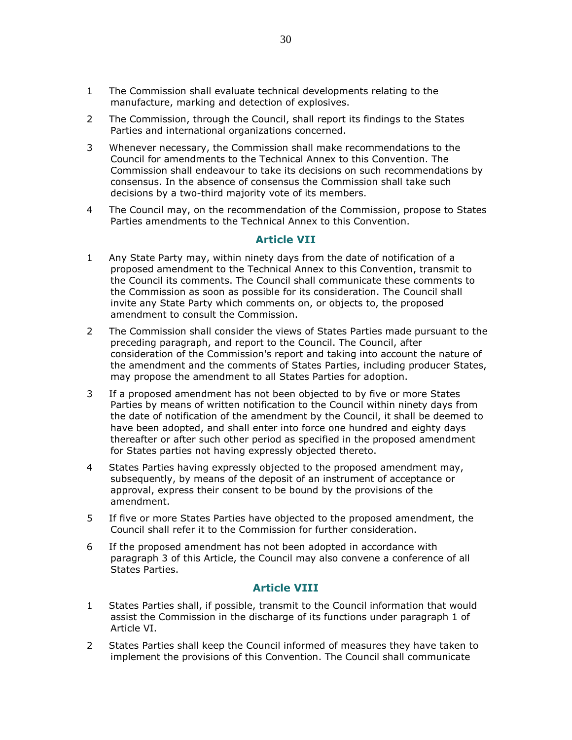- 1 The Commission shall evaluate technical developments relating to the manufacture, marking and detection of explosives.
- 2 The Commission, through the Council, shall report its findings to the States Parties and international organizations concerned.
- 3 Whenever necessary, the Commission shall make recommendations to the Council for amendments to the Technical Annex to this Convention. The Commission shall endeavour to take its decisions on such recommendations by consensus. In the absence of consensus the Commission shall take such decisions by a two-third majority vote of its members.
- 4 The Council may, on the recommendation of the Commission, propose to States Parties amendments to the Technical Annex to this Convention.

## Article VII

- 1 Any State Party may, within ninety days from the date of notification of a proposed amendment to the Technical Annex to this Convention, transmit to the Council its comments. The Council shall communicate these comments to the Commission as soon as possible for its consideration. The Council shall invite any State Party which comments on, or objects to, the proposed amendment to consult the Commission.
- 2 The Commission shall consider the views of States Parties made pursuant to the preceding paragraph, and report to the Council. The Council, after consideration of the Commission's report and taking into account the nature of the amendment and the comments of States Parties, including producer States, may propose the amendment to all States Parties for adoption.
- 3 If a proposed amendment has not been objected to by five or more States Parties by means of written notification to the Council within ninety days from the date of notification of the amendment by the Council, it shall be deemed to have been adopted, and shall enter into force one hundred and eighty days thereafter or after such other period as specified in the proposed amendment for States parties not having expressly objected thereto.
- 4 States Parties having expressly objected to the proposed amendment may, subsequently, by means of the deposit of an instrument of acceptance or approval, express their consent to be bound by the provisions of the amendment.
- 5 If five or more States Parties have objected to the proposed amendment, the Council shall refer it to the Commission for further consideration.
- 6 If the proposed amendment has not been adopted in accordance with paragraph 3 of this Article, the Council may also convene a conference of all States Parties.

# Article VIII

- 1 States Parties shall, if possible, transmit to the Council information that would assist the Commission in the discharge of its functions under paragraph 1 of Article VI.
- 2 States Parties shall keep the Council informed of measures they have taken to implement the provisions of this Convention. The Council shall communicate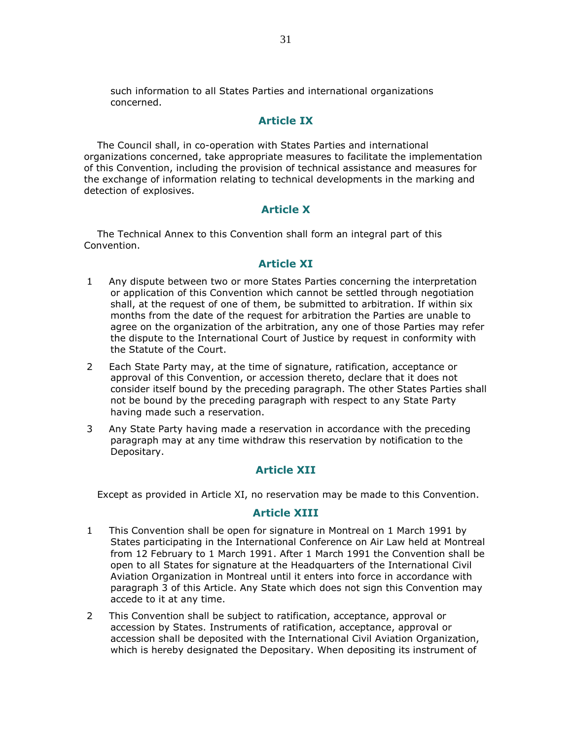such information to all States Parties and international organizations concerned.

# Article IX

 The Council shall, in co-operation with States Parties and international organizations concerned, take appropriate measures to facilitate the implementation of this Convention, including the provision of technical assistance and measures for the exchange of information relating to technical developments in the marking and detection of explosives.

# Article X

 The Technical Annex to this Convention shall form an integral part of this Convention.

# Article XI

- 1 Any dispute between two or more States Parties concerning the interpretation or application of this Convention which cannot be settled through negotiation shall, at the request of one of them, be submitted to arbitration. If within six months from the date of the request for arbitration the Parties are unable to agree on the organization of the arbitration, any one of those Parties may refer the dispute to the International Court of Justice by request in conformity with the Statute of the Court.
- 2 Each State Party may, at the time of signature, ratification, acceptance or approval of this Convention, or accession thereto, declare that it does not consider itself bound by the preceding paragraph. The other States Parties shall not be bound by the preceding paragraph with respect to any State Party having made such a reservation.
- 3 Any State Party having made a reservation in accordance with the preceding paragraph may at any time withdraw this reservation by notification to the Depositary.

# Article XII

Except as provided in Article XI, no reservation may be made to this Convention.

## Article XIII

- 1 This Convention shall be open for signature in Montreal on 1 March 1991 by States participating in the International Conference on Air Law held at Montreal from 12 February to 1 March 1991. After 1 March 1991 the Convention shall be open to all States for signature at the Headquarters of the International Civil Aviation Organization in Montreal until it enters into force in accordance with paragraph 3 of this Article. Any State which does not sign this Convention may accede to it at any time.
- 2 This Convention shall be subject to ratification, acceptance, approval or accession by States. Instruments of ratification, acceptance, approval or accession shall be deposited with the International Civil Aviation Organization, which is hereby designated the Depositary. When depositing its instrument of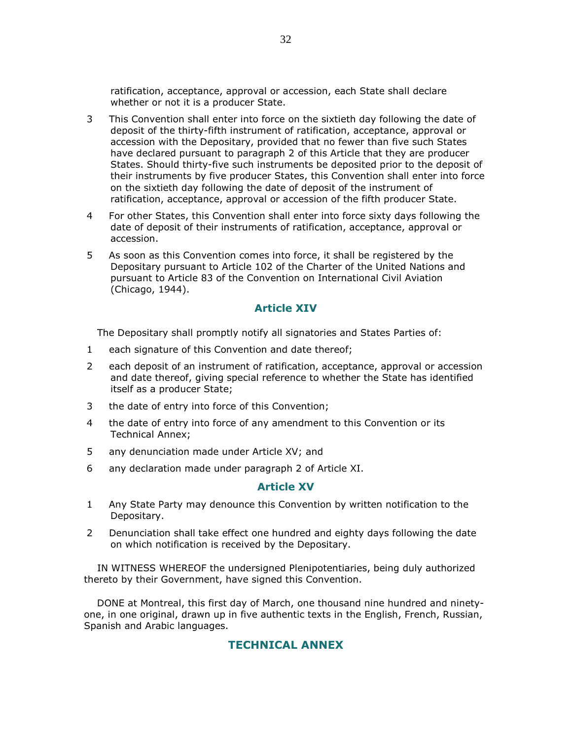ratification, acceptance, approval or accession, each State shall declare whether or not it is a producer State.

- 3 This Convention shall enter into force on the sixtieth day following the date of deposit of the thirty-fifth instrument of ratification, acceptance, approval or accession with the Depositary, provided that no fewer than five such States have declared pursuant to paragraph 2 of this Article that they are producer States. Should thirty-five such instruments be deposited prior to the deposit of their instruments by five producer States, this Convention shall enter into force on the sixtieth day following the date of deposit of the instrument of ratification, acceptance, approval or accession of the fifth producer State.
- 4 For other States, this Convention shall enter into force sixty days following the date of deposit of their instruments of ratification, acceptance, approval or accession.
- 5 As soon as this Convention comes into force, it shall be registered by the Depositary pursuant to Article 102 of the Charter of the United Nations and pursuant to Article 83 of the Convention on International Civil Aviation (Chicago, 1944).

# Article XIV

The Depositary shall promptly notify all signatories and States Parties of:

- 1 each signature of this Convention and date thereof;
- 2 each deposit of an instrument of ratification, acceptance, approval or accession and date thereof, giving special reference to whether the State has identified itself as a producer State;
- 3 the date of entry into force of this Convention;
- 4 the date of entry into force of any amendment to this Convention or its Technical Annex;
- 5 any denunciation made under Article XV; and
- 6 any declaration made under paragraph 2 of Article XI.

#### Article XV

- 1 Any State Party may denounce this Convention by written notification to the Depositary.
- 2 Denunciation shall take effect one hundred and eighty days following the date on which notification is received by the Depositary.

 IN WITNESS WHEREOF the undersigned Plenipotentiaries, being duly authorized thereto by their Government, have signed this Convention.

 DONE at Montreal, this first day of March, one thousand nine hundred and ninetyone, in one original, drawn up in five authentic texts in the English, French, Russian, Spanish and Arabic languages.

# TECHNICAL ANNEX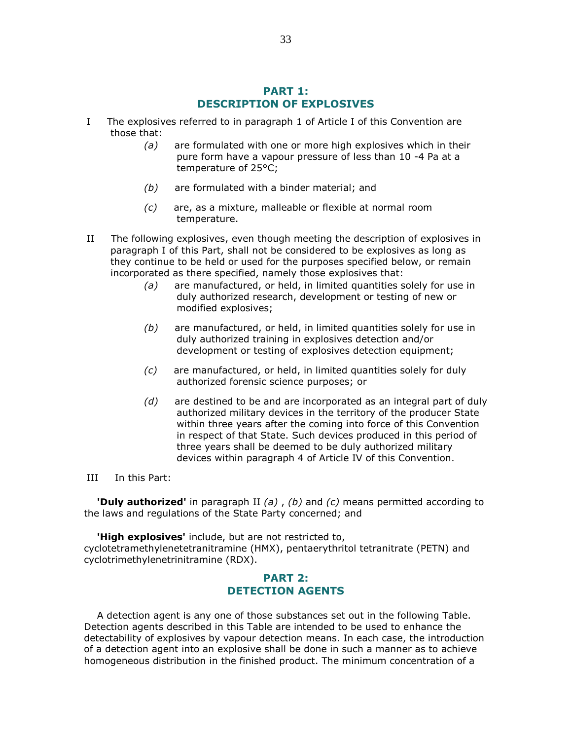## PART 1: DESCRIPTION OF EXPLOSIVES

- I The explosives referred to in paragraph 1 of Article I of this Convention are those that:
	- $(a)$  are formulated with one or more high explosives which in their pure form have a vapour pressure of less than 10 -4 Pa at a temperature of 25°C;
	- (b) are formulated with a binder material; and
	- (c) are, as a mixture, malleable or flexible at normal room temperature.
- II The following explosives, even though meeting the description of explosives in paragraph I of this Part, shall not be considered to be explosives as long as they continue to be held or used for the purposes specified below, or remain incorporated as there specified, namely those explosives that:
	- (a) are manufactured, or held, in limited quantities solely for use in duly authorized research, development or testing of new or modified explosives;
	- $(b)$  are manufactured, or held, in limited quantities solely for use in duly authorized training in explosives detection and/or development or testing of explosives detection equipment;
	- (c) are manufactured, or held, in limited quantities solely for duly authorized forensic science purposes; or
	- $(d)$  are destined to be and are incorporated as an integral part of duly authorized military devices in the territory of the producer State within three years after the coming into force of this Convention in respect of that State. Such devices produced in this period of three years shall be deemed to be duly authorized military devices within paragraph 4 of Article IV of this Convention.
- III In this Part:

**'Duly authorized'** in paragraph II (a), (b) and (c) means permitted according to the laws and regulations of the State Party concerned; and

'High explosives' include, but are not restricted to, cyclotetramethylenetetranitramine (HMX), pentaerythritol tetranitrate (PETN) and cyclotrimethylenetrinitramine (RDX).

#### PART 2: DETECTION AGENTS

 A detection agent is any one of those substances set out in the following Table. Detection agents described in this Table are intended to be used to enhance the detectability of explosives by vapour detection means. In each case, the introduction of a detection agent into an explosive shall be done in such a manner as to achieve homogeneous distribution in the finished product. The minimum concentration of a